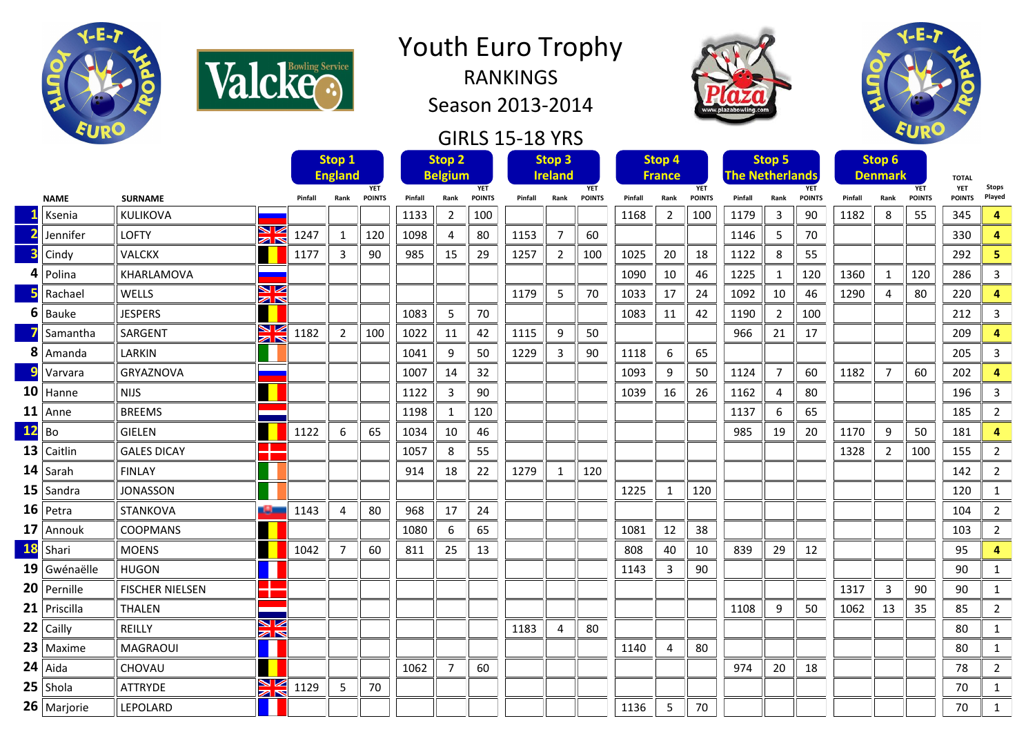

Valcke<sup>sservice</sup>

## Youth Euro Trophy

RANKINGS Season 2013-2014

## GIRLS 15-18 YRS





|              |                |                                         |         | Stop 1<br><b>England</b> |                             | <b>Stop 2</b><br><b>Belgium</b> |                |                             | Stop <sub>3</sub><br><b>Ireland</b> |                |                             | Stop 4<br><b>France</b> |                       |                             | Stop 5<br><b>The Netherlands</b> |                |                             | Stop 6<br><b>Denmark</b> |                |                             | <b>TOTAL</b>                |                        |
|--------------|----------------|-----------------------------------------|---------|--------------------------|-----------------------------|---------------------------------|----------------|-----------------------------|-------------------------------------|----------------|-----------------------------|-------------------------|-----------------------|-----------------------------|----------------------------------|----------------|-----------------------------|--------------------------|----------------|-----------------------------|-----------------------------|------------------------|
|              | <b>NAME</b>    | <b>SURNAME</b>                          | Pinfall | Rank                     | <b>YET</b><br><b>POINTS</b> | Pinfall                         | Rank           | <b>YET</b><br><b>POINTS</b> | Pinfall                             | Rank           | <b>YET</b><br><b>POINTS</b> | Pinfall                 | Rank                  | <b>YET</b><br><b>POINTS</b> | Pinfall                          | Rank           | <b>YET</b><br><b>POINTS</b> | Pinfall                  | Rank           | <b>YET</b><br><b>POINTS</b> | <b>YET</b><br><b>POINTS</b> | <b>Stops</b><br>Played |
|              | Ksenia         | KULIKOVA                                |         |                          |                             | 1133                            | $\overline{2}$ | 100                         |                                     |                |                             | 1168                    | 2                     | 100                         | 1179                             | 3              | 90                          | 1182                     | 8              | 55                          | 345                         | 4                      |
|              | Jennifer       | ↘ڻ<br><b>LOFTY</b><br>$\geq$            | 1247    | 1                        | 120                         | 1098                            | 4              | 80                          | 1153                                | $\overline{7}$ | 60                          |                         |                       |                             | 1146                             | 5              | 70                          |                          |                |                             | 330                         | 4                      |
|              | Cindy          | <b>VALCKX</b>                           | 1177    | 3                        | 90                          | 985                             | 15             | 29                          | 1257                                | $\overline{2}$ | 100                         | 1025                    | 20                    | 18                          | 1122                             | 8              | 55                          |                          |                |                             | 292                         | 5                      |
|              | Polina         | KHARLAMOVA                              |         |                          |                             |                                 |                |                             |                                     |                |                             | 1090                    | 10                    | 46                          | 1225                             | 1              | 120                         | 1360                     | 1              | 120                         | 286                         | 3                      |
|              | Rachael        | ↘☑<br>WELLS<br>$\mathbb{Z} \mathbb{N}$  |         |                          |                             |                                 |                |                             | 1179                                | 5              | 70                          | 1033                    | 17                    | 24                          | 1092                             | 10             | 46                          | 1290                     | 4              | 80                          | 220                         | 4                      |
| 6            | Bauke          | <b>JESPERS</b>                          |         |                          |                             | 1083                            | 5              | 70                          |                                     |                |                             | 1083                    | 11                    | 42                          | 1190                             | 2              | 100                         |                          |                |                             | 212                         | 3                      |
|              | Samantha       | ↘⇙<br>SARGENT<br>$\geq$                 | 1182    | $\overline{2}$           | 100                         | 1022                            | 11             | 42                          | 1115                                | 9              | 50                          |                         |                       |                             | 966                              | 21             | 17                          |                          |                |                             | 209                         | 4                      |
|              | $8$   Amanda   | LARKIN                                  |         |                          |                             | 1041                            | 9              | 50                          | 1229                                | 3              | 90                          | 1118                    | 6                     | 65                          |                                  |                |                             |                          |                |                             | 205                         | 3                      |
| $\mathbf{a}$ | Varvara        | <b>GRYAZNOVA</b>                        |         |                          |                             | 1007                            | 14             | 32                          |                                     |                |                             | 1093                    | 9                     | 50                          | 1124                             | 7              | 60                          | 1182                     | 7              | 60                          | 202                         | 4                      |
|              | $10$ Hanne     | <b>NIJS</b>                             |         |                          |                             | 1122                            | 3              | 90                          |                                     |                |                             | 1039                    | 16                    | 26                          | 1162                             | $\overline{4}$ | 80                          |                          |                |                             | 196                         | $\overline{3}$         |
|              | $11$ Anne      | <b>BREEMS</b>                           |         |                          |                             | 1198                            | 1              | 120                         |                                     |                |                             |                         |                       |                             | 1137                             | 6              | 65                          |                          |                |                             | 185                         | $\overline{2}$         |
| $12$ Bo      |                | <b>GIELEN</b>                           | 1122    | 6                        | 65                          | 1034                            | 10             | 46                          |                                     |                |                             |                         |                       |                             | 985                              | 19             | 20                          | 1170                     | 9              | 50                          | 181                         | 4                      |
|              | $13$ Caitlin   | <b>GALES DICAY</b>                      |         |                          |                             | 1057                            | 8              | 55                          |                                     |                |                             |                         |                       |                             |                                  |                |                             | 1328                     | 2              | 100                         | 155                         | $\overline{2}$         |
|              | $14$ Sarah     | <b>FINLAY</b>                           |         |                          |                             | 914                             | 18             | 22                          | 1279                                | 1              | 120                         |                         |                       |                             |                                  |                |                             |                          |                |                             | 142                         | $\overline{2}$         |
|              | $15$ Sandra    | <b>JONASSON</b>                         |         |                          |                             |                                 |                |                             |                                     |                |                             | 1225                    | 1                     | 120                         |                                  |                |                             |                          |                |                             | 120                         | $\mathbf{1}$           |
|              | $16$ Petra     | <b>STANKOVA</b><br>كالباد               | 1143    | 4                        | 80                          | 968                             | 17             | 24                          |                                     |                |                             |                         |                       |                             |                                  |                |                             |                          |                |                             | 104                         | $\overline{2}$         |
|              | 17 Annouk      | <b>COOPMANS</b>                         |         |                          |                             | 1080                            | 6              | 65                          |                                     |                |                             | 1081                    | 12                    | 38                          |                                  |                |                             |                          |                |                             | 103                         | $\overline{2}$         |
| <b>18</b>    | Shari          | <b>MOENS</b>                            | 1042    | 7                        | 60                          | 811                             | 25             | 13                          |                                     |                |                             | 808                     | 40                    | 10                          | 839                              | 29             | 12                          |                          |                |                             | 95                          | 4                      |
|              | $19$ Gwénaëlle | <b>HUGON</b>                            |         |                          |                             |                                 |                |                             |                                     |                |                             | 1143                    | 3                     | 90                          |                                  |                |                             |                          |                |                             | 90                          | $\mathbf{1}$           |
|              | 20 Pernille    | ш.<br><b>FISCHER NIELSEN</b>            |         |                          |                             |                                 |                |                             |                                     |                |                             |                         |                       |                             |                                  |                |                             | 1317                     | $\overline{3}$ | 90                          | 90                          | 1                      |
|              | $21$ Priscilla | <b>THALEN</b>                           |         |                          |                             |                                 |                |                             |                                     |                |                             |                         |                       |                             | 1108                             | 9              | 50                          | 1062                     | 13             | 35                          | 85                          | $\overline{2}$         |
|              | $22$ Cailly    | VZ<br>REILLY<br>$\mathbb{Z} \mathbb{N}$ |         |                          |                             |                                 |                |                             | 1183                                | 4              | 80                          |                         |                       |                             |                                  |                |                             |                          |                |                             | 80                          | 1                      |
|              | $23$   Maxime  | <b>MAGRAOUI</b>                         |         |                          |                             |                                 |                |                             |                                     |                |                             | 1140                    | $\boldsymbol{\Delta}$ | 80                          |                                  |                |                             |                          |                |                             | 80                          | $\mathbf{1}$           |
|              | $24$ Aida      | <b>CHOVAU</b>                           |         |                          |                             | 1062                            | $\overline{7}$ | 60                          |                                     |                |                             |                         |                       |                             | 974                              | 20             | 18                          |                          |                |                             | 78                          | $\overline{2}$         |
|              | $25$ Shola     | N<br>A<br><b>ATTRYDE</b>                | 1129    | 5                        | 70                          |                                 |                |                             |                                     |                |                             |                         |                       |                             |                                  |                |                             |                          |                |                             | 70                          | $\mathbf{1}$           |
|              | $26$ Marjorie  | LEPOLARD                                |         |                          |                             |                                 |                |                             |                                     |                |                             | 1136                    | 5                     | 70                          |                                  |                |                             |                          |                |                             | 70                          | $\mathbf{1}$           |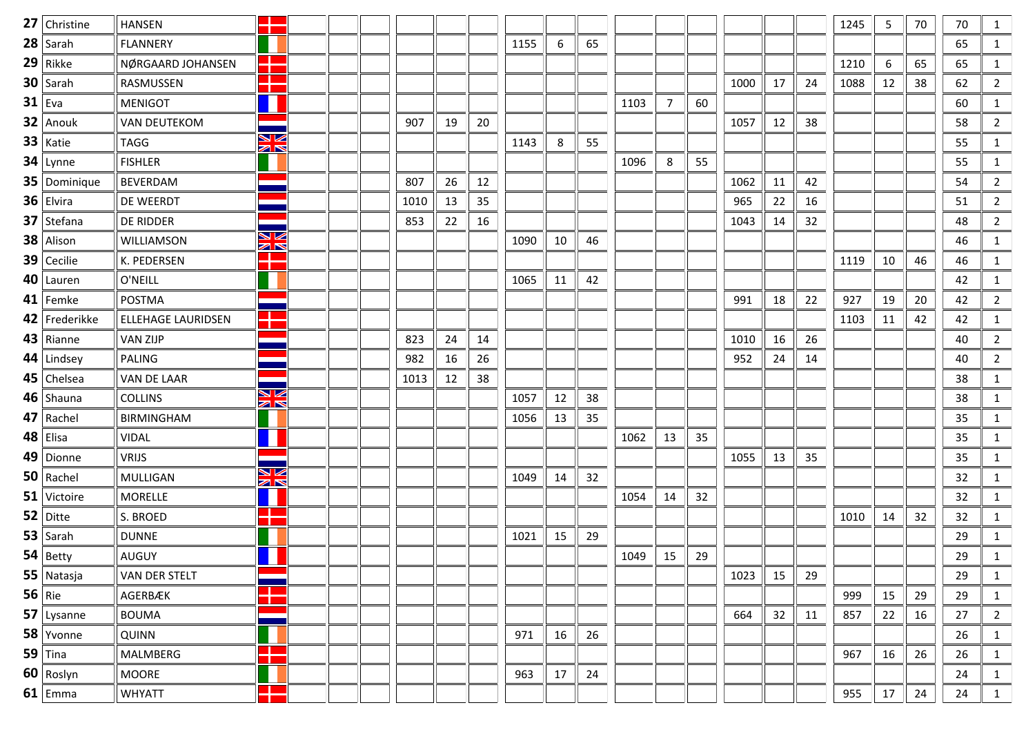| 27 Christine  | <b>HANSEN</b>             | ۳                            |      |    |    |      |    |    |      |    |    |      |    |    | 1245 | 5  | 70 | 70 | 1              |
|---------------|---------------------------|------------------------------|------|----|----|------|----|----|------|----|----|------|----|----|------|----|----|----|----------------|
| $28$ Sarah    | <b>FLANNERY</b>           |                              |      |    |    | 1155 | 6  | 65 |      |    |    |      |    |    |      |    |    | 65 | $\mathbf{1}$   |
| $29$ Rikke    | NØRGAARD JOHANSEN         | ٢F                           |      |    |    |      |    |    |      |    |    |      |    |    | 1210 | 6  | 65 | 65 | $\mathbf{1}$   |
| $30$ Sarah    | RASMUSSEN                 | ٢R                           |      |    |    |      |    |    |      |    |    | 1000 | 17 | 24 | 1088 | 12 | 38 | 62 | $\overline{2}$ |
| $31$ Eva      | <b>MENIGOT</b>            | Ш                            |      |    |    |      |    |    | 1103 | 7  | 60 |      |    |    |      |    |    | 60 | $\mathbf{1}$   |
| $32$   Anouk  | <b>VAN DEUTEKOM</b>       |                              | 907  | 19 | 20 |      |    |    |      |    |    | 1057 | 12 | 38 |      |    |    | 58 | $\overline{2}$ |
| $33$   Katie  | <b>TAGG</b>               | V<br>$\mathbb{Z} \mathbb{N}$ |      |    |    | 1143 | 8  | 55 |      |    |    |      |    |    |      |    |    | 55 | 1              |
| $34$ Lynne    | <b>FISHLER</b>            |                              |      |    |    |      |    |    | 1096 | 8  | 55 |      |    |    |      |    |    | 55 | $\mathbf{1}$   |
| 35 Dominique  | <b>BEVERDAM</b>           |                              | 807  | 26 | 12 |      |    |    |      |    |    | 1062 | 11 | 42 |      |    |    | 54 | $\overline{2}$ |
| $36$ Elvira   | DE WEERDT                 |                              | 1010 | 13 | 35 |      |    |    |      |    |    | 965  | 22 | 16 |      |    |    | 51 | $\overline{2}$ |
| $37$ Stefana  | DE RIDDER                 | --                           | 853  | 22 | 16 |      |    |    |      |    |    | 1043 | 14 | 32 |      |    |    | 48 | $\overline{2}$ |
| 38 Alison     | WILLIAMSON                | V<br>$\mathbb{Z}$            |      |    |    | 1090 | 10 | 46 |      |    |    |      |    |    |      |    |    | 46 | $\mathbf{1}$   |
| $39$ Cecilie  | K. PEDERSEN               | 22                           |      |    |    |      |    |    |      |    |    |      |    |    | 1119 | 10 | 46 | 46 | $\mathbf{1}$   |
| $40$   Lauren | O'NEILL                   |                              |      |    |    | 1065 | 11 | 42 |      |    |    |      |    |    |      |    |    | 42 | 1              |
| $41$ Femke    | POSTMA                    |                              |      |    |    |      |    |    |      |    |    | 991  | 18 | 22 | 927  | 19 | 20 | 42 | $\overline{2}$ |
| 42 Frederikke | <b>ELLEHAGE LAURIDSEN</b> | ÷                            |      |    |    |      |    |    |      |    |    |      |    |    | 1103 | 11 | 42 | 42 | 1              |
| $43$ Rianne   | <b>VAN ZIJP</b>           |                              | 823  | 24 | 14 |      |    |    |      |    |    | 1010 | 16 | 26 |      |    |    | 40 | $\overline{2}$ |
| $44$ Lindsey  | PALING                    |                              | 982  | 16 | 26 |      |    |    |      |    |    | 952  | 24 | 14 |      |    |    | 40 | $\overline{2}$ |
| $45$ Chelsea  | VAN DE LAAR               |                              | 1013 | 12 | 38 |      |    |    |      |    |    |      |    |    |      |    |    | 38 | $\mathbf{1}$   |
| $46$ Shauna   | <b>COLLINS</b>            | ▧<br>$\mathbb{Z} \mathbb{N}$ |      |    |    | 1057 | 12 | 38 |      |    |    |      |    |    |      |    |    | 38 | $\mathbf{1}$   |
| $47$ Rachel   | <b>BIRMINGHAM</b>         |                              |      |    |    | 1056 | 13 | 35 |      |    |    |      |    |    |      |    |    | 35 | $\mathbf{1}$   |
| $48$ Elisa    | <b>VIDAL</b>              | Ш                            |      |    |    |      |    |    | 1062 | 13 | 35 |      |    |    |      |    |    | 35 | $\mathbf{1}$   |
| 49 Dionne     | <b>VRIJS</b>              | --                           |      |    |    |      |    |    |      |    |    | 1055 | 13 | 35 |      |    |    | 35 | $\mathbf{1}$   |
| $50$ Rachel   | <b>MULLIGAN</b>           | K<br>$\mathbb{Z}$            |      |    |    | 1049 | 14 | 32 |      |    |    |      |    |    |      |    |    | 32 | $\mathbf{1}$   |
| $51$ Victoire | <b>MORELLE</b>            | H                            |      |    |    |      |    |    | 1054 | 14 | 32 |      |    |    |      |    |    | 32 | 1              |
| $52$ Ditte    | S. BROED                  | $\mathcal{L}$<br>т           |      |    |    |      |    |    |      |    |    |      |    |    | 1010 | 14 | 32 | 32 | $\mathbf{1}$   |
| 53 $ $ Sarah  | <b>DUNNE</b>              |                              |      |    |    | 1021 | 15 | 29 |      |    |    |      |    |    |      |    |    | 29 | $\mathbf{1}$   |
| $54$ Betty    | AUGUY                     |                              |      |    |    |      |    |    | 1049 | 15 | 29 |      |    |    |      |    |    | 29 | $\mathbf{1}$   |
| $55$ Natasja  | VAN DER STELT             |                              |      |    |    |      |    |    |      |    |    | 1023 | 15 | 29 |      |    |    | 29 | 1              |
| 56 Rie        | AGERBÆK                   |                              |      |    |    |      |    |    |      |    |    |      |    |    | 999  | 15 | 29 | 29 | $\mathbf{1}$   |
| $57$ Lysanne  | <b>BOUMA</b>              |                              |      |    |    |      |    |    |      |    |    | 664  | 32 | 11 | 857  | 22 | 16 | 27 | $\overline{2}$ |
| 58 Yvonne     | <b>QUINN</b>              |                              |      |    |    | 971  | 16 | 26 |      |    |    |      |    |    |      |    |    | 26 | 1              |
| 59 Tina       | <b>MALMBERG</b>           | n                            |      |    |    |      |    |    |      |    |    |      |    |    | 967  | 16 | 26 | 26 | $\mathbf{1}$   |
| 60 Roslyn     | MOORE                     |                              |      |    |    | 963  | 17 | 24 |      |    |    |      |    |    |      |    |    | 24 | 1              |
| $61$ Emma     | WHYATT                    | ╉                            |      |    |    |      |    |    |      |    |    |      |    |    | 955  | 17 | 24 | 24 | $\mathbf{1}$   |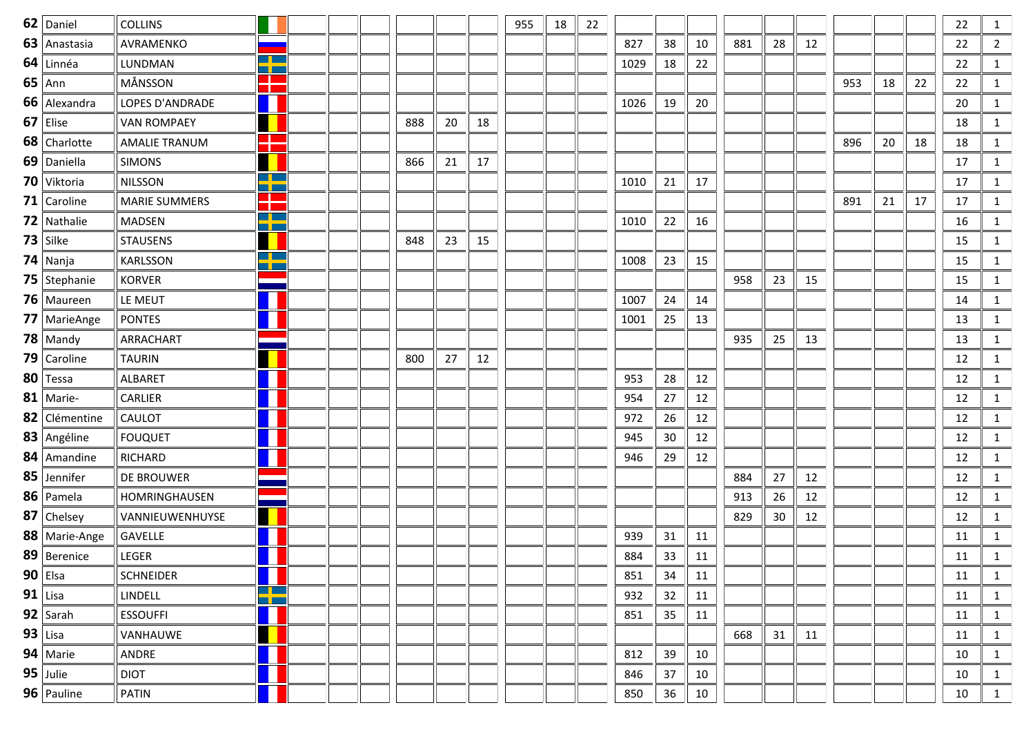| $62$ Daniel         | <b>COLLINS</b>       |                                |  |     |    |    | 955 | 18 | 22 |      |    |    |     |    |    |     |    |    | 22 | 1              |
|---------------------|----------------------|--------------------------------|--|-----|----|----|-----|----|----|------|----|----|-----|----|----|-----|----|----|----|----------------|
| 63   Anastasia      | AVRAMENKO            |                                |  |     |    |    |     |    |    | 827  | 38 | 10 | 881 | 28 | 12 |     |    |    | 22 | $\overline{2}$ |
| $64$ Linnéa         | LUNDMAN              | <u> Silan</u><br>n pr          |  |     |    |    |     |    |    | 1029 | 18 | 22 |     |    |    |     |    |    | 22 | $\mathbf{1}$   |
| $65$ Ann            | MÅNSSON              | 22                             |  |     |    |    |     |    |    |      |    |    |     |    |    | 953 | 18 | 22 | 22 | $\mathbf{1}$   |
| 66 Alexandra        | LOPES D'ANDRADE      | П                              |  |     |    |    |     |    |    | 1026 | 19 | 20 |     |    |    |     |    |    | 20 | $\mathbf{1}$   |
| $67$ Elise          | <b>VAN ROMPAEY</b>   |                                |  | 888 | 20 | 18 |     |    |    |      |    |    |     |    |    |     |    |    | 18 | $\mathbf{1}$   |
| 68 Charlotte        | <b>AMALIE TRANUM</b> | 25                             |  |     |    |    |     |    |    |      |    |    |     |    |    | 896 | 20 | 18 | 18 | $\mathbf{1}$   |
| 69 Daniella         | <b>SIMONS</b>        |                                |  | 866 | 21 | 17 |     |    |    |      |    |    |     |    |    |     |    |    | 17 | $\mathbf{1}$   |
| 70 Viktoria         | <b>NILSSON</b>       | $\Box$ $\Box$<br><b>The Co</b> |  |     |    |    |     |    |    | 1010 | 21 | 17 |     |    |    |     |    |    | 17 | $\mathbf{1}$   |
| <b>71</b> Caroline  | <b>MARIE SUMMERS</b> | ÷                              |  |     |    |    |     |    |    |      |    |    |     |    |    | 891 | 21 | 17 | 17 | $\mathbf{1}$   |
| $72$ Nathalie       | <b>MADSEN</b>        | <u>a ka</u><br><b>RICH</b>     |  |     |    |    |     |    |    | 1010 | 22 | 16 |     |    |    |     |    |    | 16 | $\mathbf{1}$   |
| $73$ Silke          | <b>STAUSENS</b>      |                                |  | 848 | 23 | 15 |     |    |    |      |    |    |     |    |    |     |    |    | 15 | $\mathbf{1}$   |
| $74$ Nanja          | KARLSSON             | $\Box$ $\Box$<br>a pro         |  |     |    |    |     |    |    | 1008 | 23 | 15 |     |    |    |     |    |    | 15 | $\mathbf{1}$   |
| 75   Stephanie      | <b>KORVER</b>        |                                |  |     |    |    |     |    |    |      |    |    | 958 | 23 | 15 |     |    |    | 15 | $\mathbf{1}$   |
| 76 Maureen          | LE MEUT              |                                |  |     |    |    |     |    |    | 1007 | 24 | 14 |     |    |    |     |    |    | 14 | $\mathbf{1}$   |
| 77 MarieAnge        | <b>PONTES</b>        |                                |  |     |    |    |     |    |    | 1001 | 25 | 13 |     |    |    |     |    |    | 13 | $\mathbf{1}$   |
| $78$ Mandy          | ARRACHART            |                                |  |     |    |    |     |    |    |      |    |    | 935 | 25 | 13 |     |    |    | 13 | $\mathbf{1}$   |
| 79 $\vert$ Caroline | <b>TAURIN</b>        |                                |  | 800 | 27 | 12 |     |    |    |      |    |    |     |    |    |     |    |    | 12 | $\mathbf{1}$   |
| 80 Tessa            | ALBARET              |                                |  |     |    |    |     |    |    | 953  | 28 | 12 |     |    |    |     |    |    | 12 | $\mathbf{1}$   |
| $81$ Marie-         | <b>CARLIER</b>       |                                |  |     |    |    |     |    |    | 954  | 27 | 12 |     |    |    |     |    |    | 12 | $\mathbf{1}$   |
| 82 Clémentine       | <b>CAULOT</b>        |                                |  |     |    |    |     |    |    | 972  | 26 | 12 |     |    |    |     |    |    | 12 | $\mathbf{1}$   |
| 83 Angéline         | <b>FOUQUET</b>       |                                |  |     |    |    |     |    |    | 945  | 30 | 12 |     |    |    |     |    |    | 12 | $\mathbf{1}$   |
| $84$   Amandine     | <b>RICHARD</b>       | Ш                              |  |     |    |    |     |    |    | 946  | 29 | 12 |     |    |    |     |    |    | 12 | $\mathbf{1}$   |
| 85 Jennifer         | <b>DE BROUWER</b>    |                                |  |     |    |    |     |    |    |      |    |    | 884 | 27 | 12 |     |    |    | 12 | $\mathbf{1}$   |
| 86   Pamela         | HOMRINGHAUSEN        |                                |  |     |    |    |     |    |    |      |    |    | 913 | 26 | 12 |     |    |    | 12 | $\mathbf{1}$   |
| 87 Chelsey          | VANNIEUWENHUYSE      |                                |  |     |    |    |     |    |    |      |    |    | 829 | 30 | 12 |     |    |    | 12 | $\mathbf{1}$   |
| 88   Marie-Ange     | <b>GAVELLE</b>       |                                |  |     |    |    |     |    |    | 939  | 31 | 11 |     |    |    |     |    |    | 11 | 1              |
| 89   Berenice       | LEGER                |                                |  |     |    |    |     |    |    | 884  | 33 | 11 |     |    |    |     |    |    | 11 | $\mathbf{1}$   |
| $90$   Elsa         | <b>SCHNEIDER</b>     |                                |  |     |    |    |     |    |    | 851  | 34 | 11 |     |    |    |     |    |    | 11 | 1              |
| $91$ Lisa           | LINDELL              | T                              |  |     |    |    |     |    |    | 932  | 32 | 11 |     |    |    |     |    |    | 11 | 1              |
| 92   Sarah          | <b>ESSOUFFI</b>      |                                |  |     |    |    |     |    |    | 851  | 35 | 11 |     |    |    |     |    |    | 11 | 1              |
| $93$ Lisa           | VANHAUWE             |                                |  |     |    |    |     |    |    |      |    |    | 668 | 31 | 11 |     |    |    | 11 | 1              |
| 94   Marie          | ANDRE                |                                |  |     |    |    |     |    |    | 812  | 39 | 10 |     |    |    |     |    |    | 10 | 1              |
| $95$ Julie          | <b>DIOT</b>          |                                |  |     |    |    |     |    |    | 846  | 37 | 10 |     |    |    |     |    |    | 10 | 1              |
| 96   Pauline        | PATIN                |                                |  |     |    |    |     |    |    | 850  | 36 | 10 |     |    |    |     |    |    | 10 | 1              |